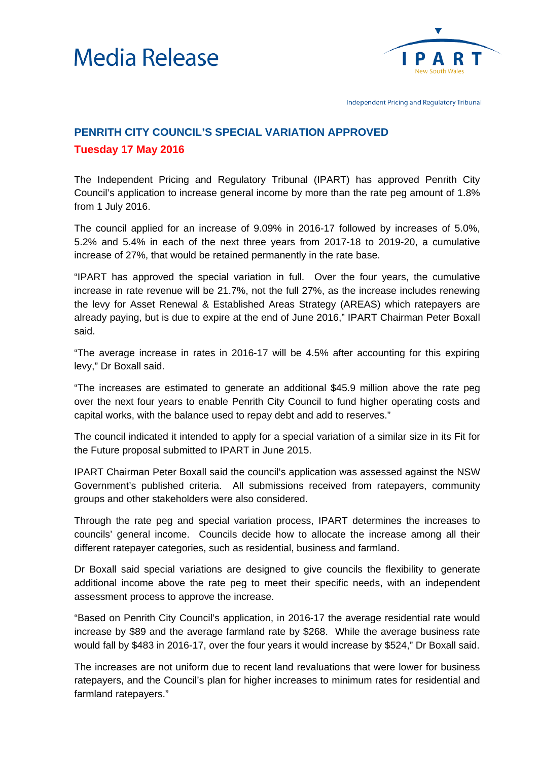



Independent Pricing and Regulatory Tribunal

## **PENRITH CITY COUNCIL'S SPECIAL VARIATION APPROVED Tuesday 17 May 2016**

The Independent Pricing and Regulatory Tribunal (IPART) has approved Penrith City Council's application to increase general income by more than the rate peg amount of 1.8% from 1 July 2016.

The council applied for an increase of 9.09% in 2016-17 followed by increases of 5.0%, 5.2% and 5.4% in each of the next three years from 2017-18 to 2019-20, a cumulative increase of 27%, that would be retained permanently in the rate base.

"IPART has approved the special variation in full. Over the four years, the cumulative increase in rate revenue will be 21.7%, not the full 27%, as the increase includes renewing the levy for Asset Renewal & Established Areas Strategy (AREAS) which ratepayers are already paying, but is due to expire at the end of June 2016," IPART Chairman Peter Boxall said.

"The average increase in rates in 2016-17 will be 4.5% after accounting for this expiring levy," Dr Boxall said.

"The increases are estimated to generate an additional \$45.9 million above the rate peg over the next four years to enable Penrith City Council to fund higher operating costs and capital works, with the balance used to repay debt and add to reserves."

The council indicated it intended to apply for a special variation of a similar size in its Fit for the Future proposal submitted to IPART in June 2015.

IPART Chairman Peter Boxall said the council's application was assessed against the NSW Government's published criteria. All submissions received from ratepayers, community groups and other stakeholders were also considered.

Through the rate peg and special variation process, IPART determines the increases to councils' general income. Councils decide how to allocate the increase among all their different ratepayer categories, such as residential, business and farmland.

Dr Boxall said special variations are designed to give councils the flexibility to generate additional income above the rate peg to meet their specific needs, with an independent assessment process to approve the increase.

"Based on Penrith City Council's application, in 2016-17 the average residential rate would increase by \$89 and the average farmland rate by \$268. While the average business rate would fall by \$483 in 2016-17, over the four years it would increase by \$524," Dr Boxall said.

The increases are not uniform due to recent land revaluations that were lower for business ratepayers, and the Council's plan for higher increases to minimum rates for residential and farmland ratepayers."